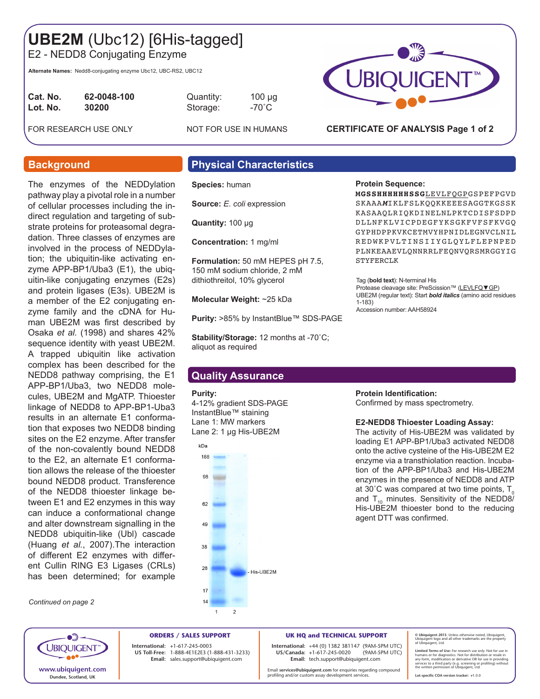# **UBE2M** (Ubc12) [6His-tagged]

E2 - NEDD8 Conjugating Enzyme

**Alternate Names:** Nedd8-conjugating enzyme Ubc12, UBC-RS2, UBC12

| Cat. No. | 62-0048-100 |
|----------|-------------|
| Lot. No. | 30200       |
|          |             |

**Cat. No. 62-0048-100** Quantity: 100 µg Storage: -70<sup>°</sup>C

FOR RESEARCH USE ONLY NOT FOR USE IN HUMANS

The enzymes of the NEDDylation pathway play a pivotal role in a number of cellular processes including the indirect regulation and targeting of substrate proteins for proteasomal degradation. Three classes of enzymes are involved in the process of NEDDylation; the ubiquitin-like activating enzyme APP-BP1/Uba3 (E1), the ubiquitin-like conjugating enzymes (E2s) and protein ligases (E3s). UBE2M is a member of the E2 conjugating enzyme family and the cDNA for Human UBE2M was first described by Osaka *et al.* (1998) and shares 42% sequence identity with yeast UBE2M. A trapped ubiquitin like activation complex has been described for the NEDD8 pathway comprising, the E1 APP-BP1/Uba3, two NEDD8 molecules, UBE2M and MgATP. Thioester linkage of NEDD8 to APP-BP1-Uba3 results in an alternate E1 conformation that exposes two NEDD8 binding sites on the E2 enzyme. After transfer of the non-covalently bound NEDD8 to the E2, an alternate E1 conformation allows the release of the thioester bound NEDD8 product. Transference of the NEDD8 thioester linkage between E1 and E2 enzymes in this way can induce a conformational change and alter downstream signalling in the NEDD8 ubiquitin-like (Ubl) cascade (Huang *et al.*, 2007).The interaction of different E2 enzymes with different Cullin RING E3 Ligases (CRLs) has been determined; for example

## **Background Physical Characteristics**

**Species:** human

**Source:** *E. coli* expression

**Quantity:** 100 μg

**Concentration:** 1 mg/ml

**Formulation:** 50 mM HEPES pH 7.5, 150 mM sodium chloride, 2 mM dithiothreitol, 10% glycerol

**Molecular Weight:** ~25 kDa

**Purity:** >85% by InstantBlue™ SDS-PAGE

**Stability/Storage:** 12 months at -70˚C; aliquot as required

### **Quality Assurance**

### **Purity:**

4-12% gradient SDS-PAGE InstantBlue™ staining Lane 1: MW markers Lane 2: 1 µg His-UBE2M



## **Protein Sequence:**

**MGSSHHHHHHSSG**LEVLFQGPGSPEFPGVD SKAAA*M*IKLFSLKQQKKEEESAGGTKGSSK KASAAQLRIQKDINELNLPKTCDISFSDPD DLLNFKLVICPDEGFYKSGKFVFSFKVGQ GYPHDPPKVKCETMVYHPNIDLEGNVCLNIL REDWKPVLTINSIIYGLQYLFLEPNPED PLNKEAAEVLQNNRRLFEQNVQRSMRGGYIG STYFERCLK

Tag (**bold text**): N-terminal His Protease cleavage site: PreScission™ (LEVLFQ▼GP) UBE2M (regular text): Start *bold italics* (amino acid residues 1-183) Accession number: AAH58924

### **Protein Identification:**

Confirmed by mass spectrometry.

### **E2-NEDD8 Thioester Loading Assay:**

The activity of His-UBE2M was validated by loading E1 APP-BP1/Uba3 activated NEDD8 onto the active cysteine of the His-UBE2M E2 enzyme via a transthiolation reaction. Incubation of the APP-BP1/Uba3 and His-UBE2M enzymes in the presence of NEDD8 and ATP at 30°C was compared at two time points,  $T_0$ and  $T_{10}$  minutes. Sensitivity of the NEDD8/ His-UBE2M thioester bond to the reducing agent DTT was confirmed.



*Continued on page 2*

**ORDERS / SALES SUPPORT International: +**1-617-245-0003 **US Toll-Free:** 1-888-4E1E2E3 (1-888-431-3233) **Email:** sales.support@ubiquigent.com

**UK HQ and TECHNICAL SUPPORT**

**International:** +44 (0) 1382 381147 (9AM-5PM UTC) **US/Canada:** +1-617-245-0020 **Email:** tech.support@ubiquigent.com

Email **services@ubiquigent.com** for enquiries regarding compound profiling and/or custom assay development services.

**© Ubiquigent 2013**. Unless otherwise noted, Ubiquigent, Ubiquigent logo and all other trademarks are the property of Ubiquigent, Ltd.

Limited Terms of Use: For research use only. Not for use in<br>humans or for diagnostics. Not for distribution or resale in<br>any form, modification or derivative OR for use in providing<br>services to a third party (e.g. screenin

**Lot-specific COA version tracker: v**1.0.0



**CERTIFICATE OF ANALYSIS Page 1 of 2**